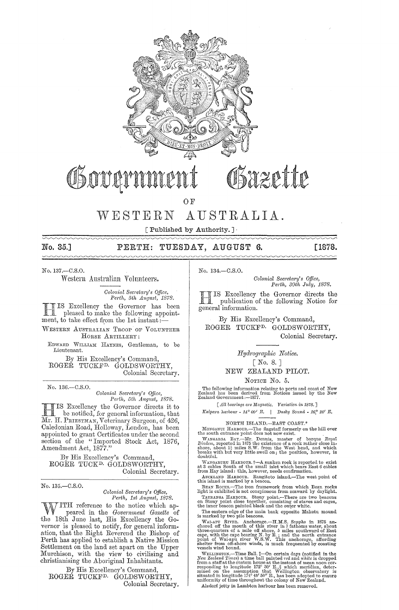

# Sazette OSover

OF

### WESTERN AUSTRALIA.

[Published by Authority.]

No. 35.]  $\sim\sim\sim\sim\sim$ 

# PERTH: TUESDAY, AUGUST 6.

[1878.

No. 137.-C.S.O.

Western Australian Volunteers.

Colonial Secretary's Office,<br>Perth, 5th August, 1878.

IS Excellency the Governor has been pleased to make the following appointment, to take effect from the 1st instant.

WESTERN AUSTRALIAN TROOP OF VOLUNTEER HORSE ARTILLERY:

EDWARD WILLIAM HAYNES, Gentleman, to be Lieutenant.

By His Excellency's Command, ROGER TUCKF<sup>D.</sup> GOLDSWORTHY, Colonial Secretary.

No. 136.-C.S.O.

Colonial Secretary's Office,<br>Perth, 5th August, 1878.

IS Excellency the Governor directs it to be notified, for general information, that Mr. H. PRIESTMAN, Veterinary Surgeon, of 426, Caledonian Road, Holloway, London, has been appointed to grant Certificates under the second<br>section of the "Imported Stock Act, 1876, Amendment Act, 1877.'

By His Excellency's Command. ROGÉR TUCK<sup>D</sup> GOLDSWORTHY, Colonial Secretary.

No. 135 .- C.S.O.

### Colonial Secretary's Office, Perth, 1st August, 1878.

ITH reference to the notice which appeared in the Government Gazette of the 18th June last, His Excellency the Governor is pleased to notify, for general information, that the Right Reverend the Bishop of Perth has applied to establish a Native Mission Settlement on the land set apart on the Upper Murchison, with the view to civilising and christianising the Aboriginal Inhabitants.

By His Excellency's Command. ROGEŘ TUCKF<sup>D.</sup> GOLDSWORTHY, Colonial Secretary. No. 134.-C.S.O.

Colonial Secretary's Office, Perth, 30th July, 1878.

IS Excellency the Governor directs the publication of the following Notice for general information.

By His Excellency's Command, ROGER TUCKF<sup>D.</sup> GOLDSWORTHY. Colonial Secretary.

> Hydrographic Notice.  $[No. 8.1]$

NEW ZEALAND PILOT.

### NOTICE No. 5.

The following information relating to ports and coast of New Zealand has been derived from Notices issued by the New Zealand Government:--1877.

[All bearings are Magnetic. Variation in 1878.]

Kaipara harbour -  $14^{\circ}$  00' E. | Dusky Sound -  $16^{\circ}$  20' E.

### NORTH ISLAND.-EAST COAST.\*

MONGANUI HARBOUR. The flagstaff formerly on the hill over<br>the south entrance point does not now exist.

En souti entrance point does not now exist.<br>The mass of the counter of barque Royal Diadem, reported in 1875 the existence of a rock rather close in-<br>shore, about 1<sup>3</sup> miles S.W. from the West head, and which<br>breaks with b

WANGARDRU HARBOUR. +-A sunken rock is reported to exist<br>at 3 cables South of the small islet which bears East 6 cables<br>from Hay island: this, however, needs confirmation.<br>AuckLAND HARBOUR. Rangitoto island.—The west point

beak hours...—Ine from trainwoord from seaward by daylight.<br>Taurantee is not conspicuous from seaward by daylight.<br>Taurantea Harbour. Stony point...—There are two beacons<br>on Stony point close together, consisting of staves

the nner beacon panted black and the outer white.<br>The eastern edge of the main bank opposite Maketu mound<br>is marked by two pile beacons.<br>WAI-APU RIVER. Anchorage.—H.M.S. Sappho in 1875 an-<br>chored off the mouth of this riv

vesses wind bound.<br>
WELLINGTON.—Time Ball.  $\ddagger$ —On certain days (notified in the New Zealand Times) a time ball painted red and white is dropped<br>
from a staff at the eustom house at the instant of mean nono correlation<br>

Alzdorf jetty in Lambton harbour has been removed.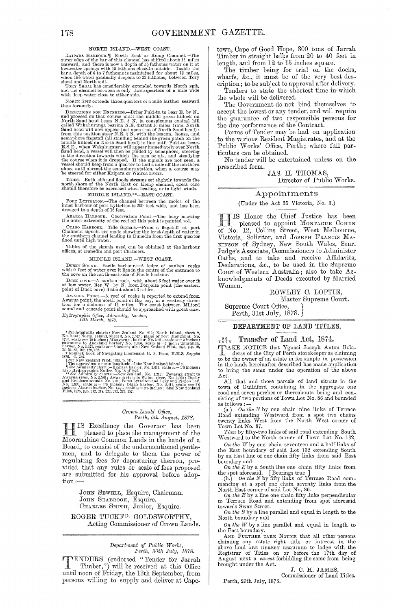NORTH ISLAND.—WEST COAST.<br>KAIPARA HARBOUR."I North East or Kemp Channel.—The<br>outer edge of the bar of this channel has shifted about 1<sup>1</sup> miles seaward, and there is now a depth of  $5\frac{1}{4}$  fathoms water on it at low-water springs with 15 fathoms cose-to outside. Inside the bar a depth of 6 to 7 fathoms is maintained for about 14 miles, when the water gradually

NORTH SPIT extends three·quarters of a mile farther seaward than formerly.

DIRECTIONS FOR ENTERING.—Ering Puki-tu to bear E. by N., and proceed on that course until the middle green hillock on North Sand head Wakhuranga bearing N.E. distant 10 miles from North Sand hed will now appear just open

TIDES.—Both ebb and floods streams set slightly towards the north shore of the North East or Kemp channel, great care should therefore be exercised when beating, or in light winds.

MIDDLE ISLAND.\*\*--EAST COAST.<br>PORT LYTTELTON.--The channel between the moles of the inner harbour of port IJyttelton is 200 feet wide, and has been<br>dredged to a depth of 16 feet.

AKAROA HARBOUR. Observation Point,-The buoy marking the outer extremity of the reef off this point is painted  $red$ .

OTAGO HARBOUR. Tide Signals.--From a flagstaff at port Chalmers signals are made showing the least depth of water in the southern channel leading to Dunedin from the first quarter flood until high water.

Tables of the signals used can be obtained at the harbour offices, at Dunedin and port Chalmers.

MIDDLE ISLAND.—WEST COAST. DUSKY SOUND. Facile harbour.—A ledge of sunken rocks with 9 feet of water over it lies in the centre of the entrance to the cove on the north-east side of Facile harbour.

DUCK COVE.--A sunken rock, with about 6 feet water over it at low water, lies W. by N. from Porpoise point (the eastern point of Duck cove) distant about 3 cables.

AWARUA POINT.—A reef of rocks is reported to extend from Awarua point, the north point of Big bay, in a westerly direction for a distance of  $1^1_x$  miles. The coast between Milford sound and cascade point should be approached with great care. *IIydrographic D.t7icc, Ad}niraHy, London*<sup>l</sup> 14th March, 1878.

\* See Admirality charts; New Zealand No. 212; North island, sheet 2, No. 2,547; New Zealand, Seeday, No. 2,547; plus of port Monganiul, No. 2,547; Plus controls, New entries of  $\alpha$ , New entries in the entries of  $\alpha$ , Au <sup>†</sup> Remark book of Navigating Lieutenant H, S, Penn, H.M.S. *Sappho* 

*I See New Zealand Pilot*, 1875, p. 341<br> **C** The approximate mean longitude of the New Zealand islands,<br> **T** New Admiralty chart :—Kiapara harbor, No. 2,614, scale  $m=10$  inches :<br> **T** See Admiralty charts :—New Zealand, anu Breaksea sounds, No, 719; Ports Lyttelton and Levy and Pigcon bay,<br>No. 1,999, scale m= 1'6 inches; Otago harbor, No. 2,411, scale m= 2'0<br>inches; Akaron harbor, No. 1,575, scale m= 2'5 inches; also New Zealand<br>Pilot, 18

### *Cj'01vn Lands' Office, Perth, 5th August, 1878.*

IIIS Excellency the Governor has been<br>Increased to place the management of the<br>Moorambine Common Lands in the hands of a IS Excellency the Governor has been pleased to place the management of the Board, to consist of the undermentioned gentlemen, and to delegate to them the power of regulating fees for depasturing thereon, provided that any rules or scale of fees proposed are submitted for his approval before adoption:-

> JOHN SEWELL, Esquire, Chairman. JOHN SEABROOK, Esquire. CHARLES SMITH, Junior, Esquire.

ROGER TUCKFD. GOLDSWORTHY, Acting Commissioner of Crown Lands.

### *Depal·tment* Qf *Pnblic Wo?'ks, Perth, 30th July, 1878.*

**TENDERS** (endorsed "Tender for Jarrah")<br>
Timber,") will be received at this Office<br>
This of Fuiday, the 12th Santanhan from until noon of Friday, the 13th September, from persons willing to supply and deliver at Capetown, Cape of Good Hope, 300 tons of Jarrah Timber in straight balks from 20 to 40 feet in length, and from 12 to 15 inches square.

The timber being for trial on the docks, wharfs, &c., it must be of the very best description; to be subject to approval after delivery.

Tenders to state the shortest time in which the whole will be delivered.

The Government do not bind themselves to accept the lowest or any tender, and will require the guarantee of two responsible persons for the due performance of the Contract.

Forms of Tender may be had on application to the various Re3ident Magistrates, and at the Public Works' Office, Perth; where full particulars can be obtained.

No tender will be entertained unless on the prescribed form.

## JAS. H. THOMAS, Director of Public Works.

## Appointments

(Under the Act 35 Victoria, No. 3.)

**HERE** IS Honor the Chief Justice has been<br>pleased to appoint MONTAGUE COHEN of No. 12, Collins Street, West Melbourne, Victoria, Solicitor, and JOSEPH FRANCIS MA-KINSON of Sydney, New South Wales, Senr. Judge's Associate, Commissioners to Administer Oaths, and to take and receive Affidavits, Declarations, &c., to be used in the Supreme Court of Western Australia; also to take Aclmowledgments of Deeds executed by Married Women.

> ROWLEY C. LOFTIE, Master Supreme Court.

Supreme Court Office, } Perth, 31st July, 1878.

### DEPARTMENT OF LAND TITLES.

### $\frac{66}{1878}$ Transfer of Land Act, 1874.

TAKE >TOTICE that Ygnasi Joseph Anton Bola-deras of the City of Perth storekeeper as claiming to be the owner of an estate in fee simple in possession in the lands hereinafter described has made application to bring the same under the operation of the above Act.

All that and those parcels of land situate in the town of Gnildford containing in the aggregate one rood and seven perches or thereabouts being and consisting of two portions of Town Lot No. 86 and bounded as follows :  $-$ 

as follows:  $-\alpha$ <br>(a.) On the N by one chain nine links of Terrace<br>Road extending Westward from a spot two chains<br>twenty links West from the North West corner of<br>Town Lot No. 87.<br>Then by fifty-two links of said road extend

On the *W* by one chain seventeen and a half links of the East boundary of said Lot 132 extending South by an East line of one chain fifty links from said East

boundary and<br>  $On the E$  by a South line one chain fifty links from<br>
the spot aforesaid. [Bearings true ]<br>
.(b.) On the N by fifty links of Terrace Road com-<br>
mencing at a spot one chain seventy links from the<br>
North Est corne

towards Swan Street.

*On the S* hyaline parallel and equal in length to the North boundary and

*On the W* by a line parallel and equal in length to

the East boundary.<br>AND FURTHER TAKE NOTIOE that all other persons claiming any estate right title or interest in the above land ARE HERENY REQUIRED to lodge with the Registrar of Titles on or before the 17th day of August next a *caveat* forbidding the same from being brought under the A

### J. C. H. JAMES, Commissioner of Land Titles.

Perth, 29th July, 1878.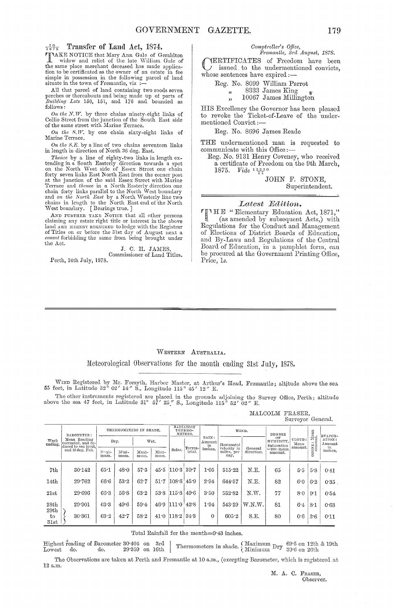## $\frac{70}{1878}$  Transfer of Land Act, 1874.

TAKE NOTICE that Mary Ann Gale of Geraldton widow and relict of the late William Gale of the same place merchant deceased has made application to be certificated as the owner of an estate in fee simple in possession in the following parcel of land situate in the town of Fremantle, viz :

All that parcel of land containing two roods seven perches or thereabouts and being made up of parts of *Building Lots* 150, 151, and 176 and bounded as follows:

*On the N.W.* by three chains ninety-eight links of Collie Street from the junction of the South East side of the same street with Marine Terrace.

*On the* S. *W.* by one chain sixty-eight links of Marine Terrace.

*On the S.E.* by a line of two chains seventeen links in length in direction of North 36 deg. East. in length in direction of North 3G deg. East.

*Thence* by a line of eighty-two links in length extending in a South Easterly direction towards a spot on the North West side of Essex Street one chain forty seven links East North East from the corner post at the junction of the said Essex Street with Marine Terrace and *thence* in a North Easterly direction one<br>chain forty links parallel to the North West boundary<br>and *on the North East* by a North Westerly line two<br>chains in length to the North East end of the North West boundary. [Bearings true.]

AND FURTHER TAKE NOTICE that all other persons claiming any estate right title or interest in the above<br>land ARE HEREBY REQUIRED to lodge with the Registrar of Titles on or before the 31st day of August next a *caveat* forbidding the same from being brought under the Act.

J. C. H. JAMES,<br>Commissioner of Land Titles.

Porth, 24th July, 1878.

### $Comptroller's$  Office,  $F$ remantle,  $3rd$  *August*, 1878.

CERTIFICATES of Freedom have been issued to the undermentioned convicts, whose sentences have expired :-

Reg. No. 8099 William Parrot

" 8333 James King

", 10067 James Millington

HIS Excellency the Goyernor has been pleased to revoke the Ticket-of-Leave of the undermentioned Convict ;-

Reg. No. 8696 James Reacle

THE undermentioned man is requested to communicate with this Office:-

Reg. No. 9131 Henry Coyeney, who received a certificate of Freedom on the 9th March, *1875. Vide '"11"0* 

> JOHN F. STONE, Superintendent.

*Latest Edition.*<br>
<sup>THE</sup> "Elementary Education Act, 1871,"<br>
(as amended by subsequent Acts.) with (as amended by subsequent Acts,) with Regulations for the Conduct and Management of Elections of District Boards of Education, and By-Laws and Regulations of the Central Board of Education, in a pamphlct form, can be procured at the Government Printing Office, Price, *Is.* 

### WESTERN AUSTRALIA.

nleteorological Ohservations for the month ending 31st July, 1878.

WIND Registered by Mr. Forsyth, Harbor Master, at Arthur's Head, Fremantle; altitude above the sea<br>55 feet, in Latitude 32° 02' 14" S., Longitude 115° 45' 12" E.

The other instruments registered are placed in the grounds adjoining the Survey Office, Perth; altitude above the sea 47 feet, in Latitude 31° 57' 25"/ S., Longitude 115° 52' 02" E.

|                 |                                                                                             |                        |               |               |               |                                 |                   |                       |                                   |                       |                               | $m_{\rm max}$ , $v_{\rm J}$ or $v_{\rm max}$ and $v_{\rm max}$ |                  |                        |
|-----------------|---------------------------------------------------------------------------------------------|------------------------|---------------|---------------|---------------|---------------------------------|-------------------|-----------------------|-----------------------------------|-----------------------|-------------------------------|----------------------------------------------------------------|------------------|------------------------|
| Week<br>ending. | BAROMETER:<br>Mean Reading<br>corrected, and re-<br>duced to sea level.<br>and 32 deg. Fah. | THERMOMETERS IN SHADE. |               |               |               | RADIATION<br>THERMO-<br>METERS. |                   |                       |                                   | WIND.                 | <b>DEGREE</b>                 |                                                                | : Mean<br>unt.   | EVAPOR-                |
|                 |                                                                                             | Dry.                   |               | Wet.          |               |                                 |                   | RAIN:<br>Amount<br>in | Horizontal                        |                       | OF<br>HUMIDITY.<br>Saturation | CLOUD:<br>Mean<br>amount.                                      | OXE <sub>3</sub> | ATION:<br>Amount<br>in |
|                 |                                                                                             | $M2$ xi-<br>mum.       | Mini-<br>mum. | Maxi-<br>mum. | Mini-<br>mum. | Solar.                          | Terres-<br>trial. | inches.               | velocity in<br>miles, per<br>day. | General<br>direction. | $=100$ : mean<br>amount.      |                                                                | Ñ<br>$\circ$     | inches.                |
| 7th             | 30.142                                                                                      | $65 - 1$               | 48.0          | 57.3          |               | $45.5$ 110.3 39.7               |                   | 1.05                  | 515.22                            | N.E.                  | 65                            | 5.5                                                            | 5.8              | 0:41                   |
| 14th            | 29.762                                                                                      | 66.6                   | 53.2          | 62.7          | 51.7          | $108.6 \, 45.9$                 |                   | 2.94                  | 644.57                            | N.E.                  | 82                            | 6.0                                                            | 6.2              | $0.35$ .               |
| 21st            | 29.696                                                                                      | 66.3                   | 56.8          | 63.2          | 53.8          | 115.8                           | 49.6              | 3.50                  | 552.82                            | N.W.                  | 77                            | 8.0                                                            | 9.1              | 0.54                   |
| 28th<br>29th    | 29.901                                                                                      | 63.3                   | 49.6          | 59.4          | 46.9          | $1110$ 42.8                     |                   | 1.94                  | 543.29                            | W.N.W.                | 81                            | 6.4                                                            | 8:1              | 0.63                   |
| to<br>31st      | 30 361                                                                                      | 63.2                   | 42.7          | 58.2          | 41.0          | 118.2                           | 34.3              | 0                     | 605.2                             | S.E.                  | 80                            | 0.6                                                            | 2.6              | 0:11                   |

MALCOLM FRASER,<br>Surveyor General.

Total Rainfall for the month=9'43 inches.

 ${\rm Highest~\ddot{r}}$ eading of Barometer 30°404 on 3rd | Thermometers in shade.  $\left\{\begin{array}{l}\text{Maximum Dr} & 69.5 \text{ on 12th} \& 19 \text{th} \\ \text{Minimum Dr} & 39.6 \text{ on 26th} \end{array}\right.$ 

The Observations are taken at Perth and Fremantle at 10 a.m., (excepting Barometer, which is registered at 12 a.m.

M. A. C. FRASER, Observer.